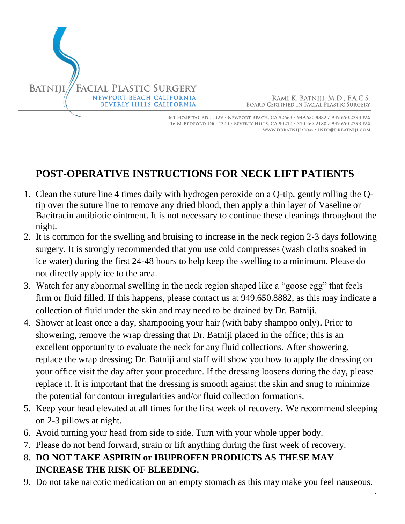

RAMI K. BATNIJI, M.D., F.A.C.S. **BOARD CERTIFIED IN FACIAL PLASTIC SURGERY** 

361 HOSPITAL RD., #329 · NEWPORT BEACH, CA 92663 · 949.650.8882 / 949.650.2293 FAX 416 N. BEDFORD DR., #200 · BEVERLY HILLS, CA 90210 · 310.467.2180 / 949.650.2293 FAX WWW.DRBATNIJI.COM · INFO@DRBATNIJI.COM

## **POST-OPERATIVE INSTRUCTIONS FOR NECK LIFT PATIENTS**

- 1. Clean the suture line 4 times daily with hydrogen peroxide on a Q-tip, gently rolling the Qtip over the suture line to remove any dried blood, then apply a thin layer of Vaseline or Bacitracin antibiotic ointment. It is not necessary to continue these cleanings throughout the night.
- 2. It is common for the swelling and bruising to increase in the neck region 2-3 days following surgery. It is strongly recommended that you use cold compresses (wash cloths soaked in ice water) during the first 24-48 hours to help keep the swelling to a minimum. Please do not directly apply ice to the area.
- 3. Watch for any abnormal swelling in the neck region shaped like a "goose egg" that feels firm or fluid filled. If this happens, please contact us at 949.650.8882, as this may indicate a collection of fluid under the skin and may need to be drained by Dr. Batniji.
- 4. Shower at least once a day, shampooing your hair (with baby shampoo only)**.** Prior to showering, remove the wrap dressing that Dr. Batniji placed in the office; this is an excellent opportunity to evaluate the neck for any fluid collections. After showering, replace the wrap dressing; Dr. Batniji and staff will show you how to apply the dressing on your office visit the day after your procedure. If the dressing loosens during the day, please replace it. It is important that the dressing is smooth against the skin and snug to minimize the potential for contour irregularities and/or fluid collection formations.
- 5. Keep your head elevated at all times for the first week of recovery. We recommend sleeping on 2-3 pillows at night.
- 6. Avoid turning your head from side to side. Turn with your whole upper body.
- 7. Please do not bend forward, strain or lift anything during the first week of recovery.
- 8. **DO NOT TAKE ASPIRIN or IBUPROFEN PRODUCTS AS THESE MAY INCREASE THE RISK OF BLEEDING.**
- 9. Do not take narcotic medication on an empty stomach as this may make you feel nauseous.